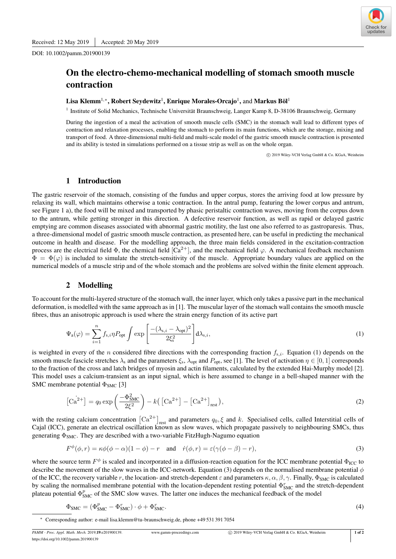DOI: 10.1002/pamm.201900139



# On the electro-chemo-mechanical modelling of stomach smooth muscle contraction

## Lisa Klemm $^{1,*}$ , Robert Seydewitz $^1$ , Enrique Morales-Orcajo $^1$ , and Markus Böl $^1$

1 Institute of Solid Mechanics, Technische Universität Braunschweig, Langer Kamp 8, D-38106 Braunschweig, Germany

During the ingestion of a meal the activation of smooth muscle cells (SMC) in the stomach wall lead to different types of contraction and relaxation processes, enabling the stomach to perform its main functions, which are the storage, mixing and transport of food. A three-dimensional multi-field and multi-scale model of the gastric smooth muscle contraction is presented and its ability is tested in simulations performed on a tissue strip as well as on the whole organ.

c 2019 Wiley-VCH Verlag GmbH & Co. KGaA, Weinheim

## 1 Introduction

The gastric reservoir of the stomach, consisting of the fundus and upper corpus, stores the arriving food at low pressure by relaxing its wall, which maintains otherwise a tonic contraction. In the antral pump, featuring the lower corpus and antrum, see Figure 1 a), the food will be mixed and transported by phasic peristaltic contraction waves, moving from the corpus down to the antrum, while getting stronger in this direction. A defective reservoir function, as well as rapid or delayed gastric emptying are common diseases associated with abnormal gastric motility, the last one also referred to as gastroparesis. Thus, a three-dimensional model of gastric smooth muscle contraction, as presented here, can be useful in predicting the mechanical outcome in health and disease. For the modelling approach, the three main fields considered in the excitation-contraction process are the electrical field  $\Phi$ , the chemical field  $\Gamma$ (Ca<sup>2+</sup>), and the mechanical field  $\varphi$ . A mechanical feedback mechanism  $\Phi = \Phi(\varphi)$  is included to simulate the stretch-sensitivity of the muscle. Appropriate boundary values are applied on the numerical models of a muscle strip and of the whole stomach and the problems are solved within the finite element approach.

### 2 Modelling

To account for the multi-layered structure of the stomach wall, the inner layer, which only takes a passive part in the mechanical deformation, is modelled with the same approach as in [1]. The muscular layer of the stomach wall contains the smooth muscle fibres, thus an anisotropic approach is used where the strain energy function of its active part

$$
\Psi_{a}(\varphi) = \sum_{i=1}^{n} f_{s,i} \eta P_{\text{opt}} \int \exp\left[\frac{-(\lambda_{s,i} - \lambda_{\text{opt}})^{2}}{2\xi_{s}^{2}}\right] d\lambda_{s,i},\tag{1}
$$

is weighted in every of the *n* considered fibre directions with the corresponding fraction  $f_{s,i}$ . Equation (1) depends on the smooth muscle fascicle stretches  $\lambda_s$  and the parameters  $\xi_s$ ,  $\lambda_{opt}$  and  $P_{opt}$ , see [1]. The level of activation  $\eta \in [0,1]$  corresponds to the fraction of the cross and latch bridges of myosin and actin filaments, calculated by the extended Hai-Murphy model [2]. This model uses a calcium-transient as an input signal, which is here assumed to change in a bell-shaped manner with the SMC membrane potential  $\Phi_{\text{SMC}}$  [3]

$$
\left[\text{Ca}^{2+}\right] = q_0 \exp\left(\frac{-\Phi_{\text{SMC}}^2}{2\xi^2}\right) - k\left(\left[\text{Ca}^{2+}\right] - \left[\text{Ca}^{2+}\right]_{\text{rest}}\right),\tag{2}
$$

with the resting calcium concentration  $\left[Ca^{2+}\right]_{rest}$  and parameters  $q_0, \xi$  and k. Specialised cells, called Interstitial cells of Cajal (ICC), generate an electrical oscillation known as slow waves, which propagate passively to neighbouring SMCs, thus generating  $\Phi_{\text{SMC}}$ . They are described with a two-variable FitzHugh-Nagumo equation

$$
F^{\phi}(\phi, r) = \kappa \phi(\phi - \alpha)(1 - \phi) - r \quad \text{and} \quad \dot{r}(\phi, r) = \varepsilon (\gamma(\phi - \beta) - r), \tag{3}
$$

where the source term  $F^{\phi}$  is scaled and incorporated in a diffusion-reaction equation for the ICC membrane potential  $\Phi_{\text{ICC}}$  to describe the movement of the slow waves in the ICC-network. Equation (3) depends on the normalised membrane potential  $\phi$ of the ICC, the recovery variable r, the location- and stretch-dependent  $\varepsilon$  and parameters  $\kappa, \alpha, \beta, \gamma$ . Finally,  $\Phi_{\text{SMC}}$  is calculated by scaling the normalised membrane potential with the location-dependent resting potential  $\Phi_{SMC}^r$  and the stretch-dependent plateau potential  $\Phi_{\text{SMC}}^p$  of the SMC slow waves. The latter one induces the mechanical feedback of the model

$$
\Phi_{\text{SMC}} = (\Phi_{\text{SMC}}^p - \Phi_{\text{SMC}}^r) \cdot \phi + \Phi_{\text{SMC}}^r.
$$
\n(4)

∗ Corresponding author: e-mail lisa.klemm@tu-braunschweig.de, phone +49 531 391 7054